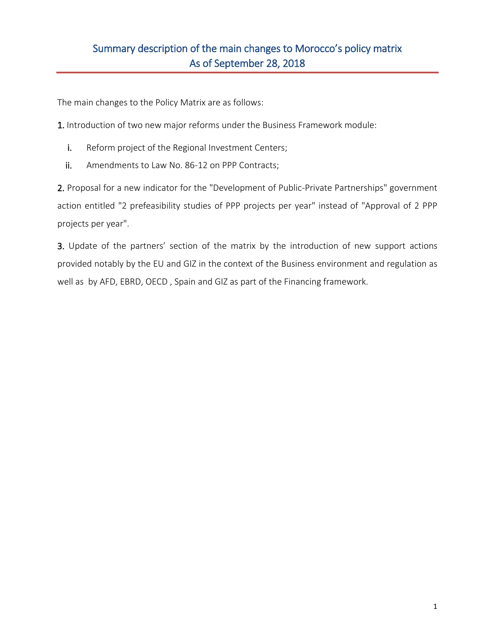# Summary description of the main changes to Morocco's policy matrix As of September 28, 2018

The main changes to the Policy Matrix are as follows:

1. Introduction of two new major reforms under the Business Framework module:

- i. Reform project of the Regional Investment Centers;
- ii. Amendments to Law No. 86-12 on PPP Contracts;

2. Proposal for a new indicator for the "Development of Public-Private Partnerships" government action entitled "2 prefeasibility studies of PPP projects per year" instead of "Approval of 2 PPP projects per year".

3. Update of the partners' section of the matrix by the introduction of new support actions provided notably by the EU and GIZ in the context of the Business environment and regulation as well as by AFD, EBRD, OECD , Spain and GIZ as part of the Financing framework.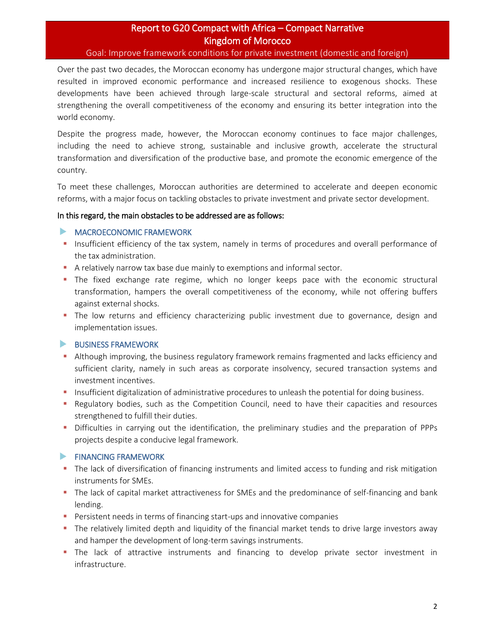# Report to G20 Compact with Africa – Compact Narrative Kingdom of Morocco

Goal: Improve framework conditions for private investment (domestic and foreign)

Over the past two decades, the Moroccan economy has undergone major structural changes, which have resulted in improved economic performance and increased resilience to exogenous shocks. These developments have been achieved through large-scale structural and sectoral reforms, aimed at strengthening the overall competitiveness of the economy and ensuring its better integration into the world economy.

Despite the progress made, however, the Moroccan economy continues to face major challenges, including the need to achieve strong, sustainable and inclusive growth, accelerate the structural transformation and diversification of the productive base, and promote the economic emergence of the country.

To meet these challenges, Moroccan authorities are determined to accelerate and deepen economic reforms, with a major focus on tackling obstacles to private investment and private sector development.

#### In this regard, the main obstacles to be addressed are as follows:

#### **MACROECONOMIC FRAMEWORK**

- **.** Insufficient efficiency of the tax system, namely in terms of procedures and overall performance of the tax administration.
- A relatively narrow tax base due mainly to exemptions and informal sector.
- **The fixed exchange rate regime, which no longer keeps pace with the economic structural** transformation, hampers the overall competitiveness of the economy, while not offering buffers against external shocks.
- **•** The low returns and efficiency characterizing public investment due to governance, design and implementation issues.

## BUSINESS FRAMEWORK

- **EXECT Although improving, the business regulatory framework remains fragmented and lacks efficiency and** sufficient clarity, namely in such areas as corporate insolvency, secured transaction systems and investment incentives.
- **•** Insufficient digitalization of administrative procedures to unleash the potential for doing business.
- **•** Regulatory bodies, such as the Competition Council, need to have their capacities and resources strengthened to fulfill their duties.
- Difficulties in carrying out the identification, the preliminary studies and the preparation of PPPs projects despite a conducive legal framework.

## **FINANCING FRAMEWORK**

- The lack of diversification of financing instruments and limited access to funding and risk mitigation instruments for SMEs.
- The lack of capital market attractiveness for SMEs and the predominance of self-financing and bank lending.
- Persistent needs in terms of financing start-ups and innovative companies
- The relatively limited depth and liquidity of the financial market tends to drive large investors away and hamper the development of long-term savings instruments.
- **•** The lack of attractive instruments and financing to develop private sector investment in infrastructure.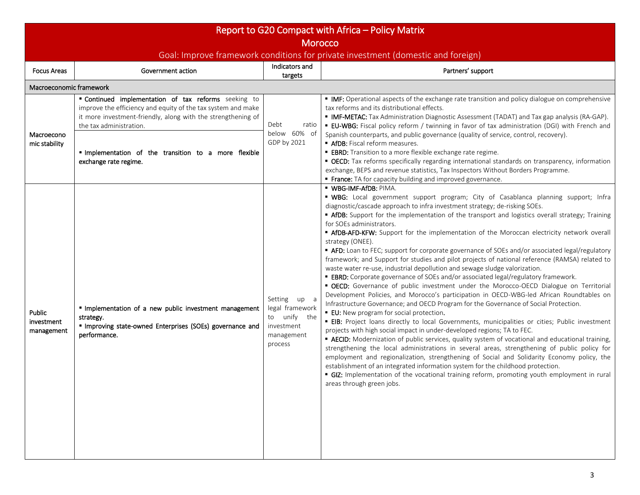| Report to G20 Compact with Africa – Policy Matrix                                                  |                                                                                                                                                                                                                                                                                                 |                                                                                        |                                                                                                                                                                                                                                                                                                                                                                                                                                                                                                                                                                                                                                                                                                                                                                                                                                                                                                                                                                                                                                                                                                                                                                                                                                                                                                                                                                                                                                                                                                                                                                                                                                                                                                                                                                                                                                                                                   |  |  |  |  |
|----------------------------------------------------------------------------------------------------|-------------------------------------------------------------------------------------------------------------------------------------------------------------------------------------------------------------------------------------------------------------------------------------------------|----------------------------------------------------------------------------------------|-----------------------------------------------------------------------------------------------------------------------------------------------------------------------------------------------------------------------------------------------------------------------------------------------------------------------------------------------------------------------------------------------------------------------------------------------------------------------------------------------------------------------------------------------------------------------------------------------------------------------------------------------------------------------------------------------------------------------------------------------------------------------------------------------------------------------------------------------------------------------------------------------------------------------------------------------------------------------------------------------------------------------------------------------------------------------------------------------------------------------------------------------------------------------------------------------------------------------------------------------------------------------------------------------------------------------------------------------------------------------------------------------------------------------------------------------------------------------------------------------------------------------------------------------------------------------------------------------------------------------------------------------------------------------------------------------------------------------------------------------------------------------------------------------------------------------------------------------------------------------------------|--|--|--|--|
| <b>Morocco</b><br>Goal: Improve framework conditions for private investment (domestic and foreign) |                                                                                                                                                                                                                                                                                                 |                                                                                        |                                                                                                                                                                                                                                                                                                                                                                                                                                                                                                                                                                                                                                                                                                                                                                                                                                                                                                                                                                                                                                                                                                                                                                                                                                                                                                                                                                                                                                                                                                                                                                                                                                                                                                                                                                                                                                                                                   |  |  |  |  |
| <b>Focus Areas</b>                                                                                 | Government action                                                                                                                                                                                                                                                                               | Indicators and<br>targets                                                              | Partners' support                                                                                                                                                                                                                                                                                                                                                                                                                                                                                                                                                                                                                                                                                                                                                                                                                                                                                                                                                                                                                                                                                                                                                                                                                                                                                                                                                                                                                                                                                                                                                                                                                                                                                                                                                                                                                                                                 |  |  |  |  |
| Macroeconomic framework                                                                            |                                                                                                                                                                                                                                                                                                 |                                                                                        |                                                                                                                                                                                                                                                                                                                                                                                                                                                                                                                                                                                                                                                                                                                                                                                                                                                                                                                                                                                                                                                                                                                                                                                                                                                                                                                                                                                                                                                                                                                                                                                                                                                                                                                                                                                                                                                                                   |  |  |  |  |
| Macroecono<br>mic stability                                                                        | " Continued implementation of tax reforms seeking to<br>improve the efficiency and equity of the tax system and make<br>it more investment-friendly, along with the strengthening of<br>the tax administration.<br>Implementation of the transition to a more flexible<br>exchange rate regime. | Debt<br>ratio<br>below 60% of<br>GDP by 2021                                           | • IMF: Operational aspects of the exchange rate transition and policy dialogue on comprehensive<br>tax reforms and its distributional effects.<br>• IMF-METAC: Tax Administration Diagnostic Assessment (TADAT) and Tax gap analysis (RA-GAP).<br><b>EU-WBG:</b> Fiscal policy reform / twinning in favor of tax administration (DGI) with French and<br>Spanish counterparts, and public governance (quality of service, control, recovery).<br>AfDB: Fiscal reform measures.<br><b>EBRD:</b> Transition to a more flexible exchange rate regime.<br>• OECD: Tax reforms specifically regarding international standards on transparency, information<br>exchange, BEPS and revenue statistics, Tax Inspectors Without Borders Programme.<br>France: TA for capacity building and improved governance.                                                                                                                                                                                                                                                                                                                                                                                                                                                                                                                                                                                                                                                                                                                                                                                                                                                                                                                                                                                                                                                                            |  |  |  |  |
| Public<br>investment<br>management                                                                 | " Implementation of a new public investment management<br>strategy.<br>" Improving state-owned Enterprises (SOEs) governance and<br>performance.                                                                                                                                                | Setting up a<br>legal framework<br>to unify the<br>investment<br>management<br>process | · WBG-IMF-AfDB: PIMA.<br>" WBG: Local government support program; City of Casablanca planning support; Infra<br>diagnostic/cascade approach to infra investment strategy; de-risking SOEs.<br><b>- AfDB:</b> Support for the implementation of the transport and logistics overall strategy; Training<br>for SOEs administrators.<br><b>- AfDB-AFD-KFW:</b> Support for the implementation of the Moroccan electricity network overall<br>strategy (ONEE).<br>" AFD: Loan to FEC; support for corporate governance of SOEs and/or associated legal/regulatory<br>framework; and Support for studies and pilot projects of national reference (RAMSA) related to<br>waste water re-use, industrial depollution and sewage sludge valorization.<br><b>EBRD:</b> Corporate governance of SOEs and/or associated legal/regulatory framework.<br>• OECD: Governance of public investment under the Morocco-OECD Dialogue on Territorial<br>Development Policies, and Morocco's participation in OECD-WBG-led African Roundtables on<br>Infrastructure Governance; and OECD Program for the Governance of Social Protection.<br><b>EU:</b> New program for social protection.<br><b>EIB:</b> Project loans directly to local Governments, municipalities or cities; Public investment<br>projects with high social impact in under-developed regions; TA to FEC.<br><b>EXECID:</b> Modernization of public services, quality system of vocational and educational training,<br>strengthening the local administrations in several areas, strengthening of public policy for<br>employment and regionalization, strengthening of Social and Solidarity Economy policy, the<br>establishment of an integrated information system for the childhood protection.<br>GIZ: Implementation of the vocational training reform, promoting youth employment in rural<br>areas through green jobs. |  |  |  |  |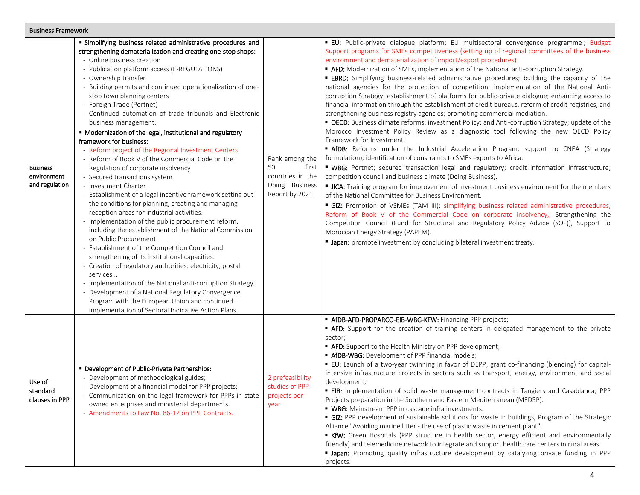| <b>Business Framework</b>                        |                                                                                                                                                                                                                                                                                                                                                                                                                                                                                                                                                                                                                                                                                                                                                                                                                                                                                                                                                                                                                                                                                                                                                                                                                                                                                                                                                                                                                                                                           |                                                                                       |                                                                                                                                                                                                                                                                                                                                                                                                                                                                                                                                                                                                                                                                                                                                                                                                                                                                                                                                                                                                                                                                                                                                                                                                                                                                                                                                                                                                                                                                                                                                                                                                                                                                                                                                                                                                                                                                                                                                                         |  |  |  |
|--------------------------------------------------|---------------------------------------------------------------------------------------------------------------------------------------------------------------------------------------------------------------------------------------------------------------------------------------------------------------------------------------------------------------------------------------------------------------------------------------------------------------------------------------------------------------------------------------------------------------------------------------------------------------------------------------------------------------------------------------------------------------------------------------------------------------------------------------------------------------------------------------------------------------------------------------------------------------------------------------------------------------------------------------------------------------------------------------------------------------------------------------------------------------------------------------------------------------------------------------------------------------------------------------------------------------------------------------------------------------------------------------------------------------------------------------------------------------------------------------------------------------------------|---------------------------------------------------------------------------------------|---------------------------------------------------------------------------------------------------------------------------------------------------------------------------------------------------------------------------------------------------------------------------------------------------------------------------------------------------------------------------------------------------------------------------------------------------------------------------------------------------------------------------------------------------------------------------------------------------------------------------------------------------------------------------------------------------------------------------------------------------------------------------------------------------------------------------------------------------------------------------------------------------------------------------------------------------------------------------------------------------------------------------------------------------------------------------------------------------------------------------------------------------------------------------------------------------------------------------------------------------------------------------------------------------------------------------------------------------------------------------------------------------------------------------------------------------------------------------------------------------------------------------------------------------------------------------------------------------------------------------------------------------------------------------------------------------------------------------------------------------------------------------------------------------------------------------------------------------------------------------------------------------------------------------------------------------------|--|--|--|
| <b>Business</b><br>environment<br>and regulation | " Simplifying business related administrative procedures and<br>strengthening dematerialization and creating one-stop shops:<br>- Online business creation<br>- Publication platform access (E-REGULATIONS)<br>- Ownership transfer<br>- Building permits and continued operationalization of one-<br>stop town planning centers<br>- Foreign Trade (Portnet)<br>- Continued automation of trade tribunals and Electronic<br>business management.<br>" Modernization of the legal, institutional and regulatory<br>framework for business:<br>- Reform project of the Regional Investment Centers<br>- Reform of Book V of the Commercial Code on the<br>Regulation of corporate insolvency<br>- Secured transactions system<br>- Investment Charter<br>- Establishment of a legal incentive framework setting out<br>the conditions for planning, creating and managing<br>reception areas for industrial activities.<br>- Implementation of the public procurement reform,<br>including the establishment of the National Commission<br>on Public Procurement.<br>- Establishment of the Competition Council and<br>strengthening of its institutional capacities.<br>- Creation of regulatory authorities: electricity, postal<br>services<br>- Implementation of the National anti-corruption Strategy.<br>- Development of a National Regulatory Convergence<br>Program with the European Union and continued<br>implementation of Sectoral Indicative Action Plans. | Rank among the<br>50<br>first<br>countries in the<br>Doing Business<br>Report by 2021 | · EU: Public-private dialogue platform; EU multisectoral convergence programme; Budget<br>Support programs for SMEs competitiveness (setting up of regional committees of the business<br>environment and dematerialization of import/export procedures)<br>" AFD: Modernization of SMEs, implementation of the National anti-corruption Strategy.<br><b>EBRD:</b> Simplifying business-related administrative procedures; building the capacity of the<br>national agencies for the protection of competition; implementation of the National Anti-<br>corruption Strategy; establishment of platforms for public-private dialogue; enhancing access to<br>financial information through the establishment of credit bureaus, reform of credit registries, and<br>strengthening business registry agencies; promoting commercial mediation.<br>• OECD: Business climate reforms; investment Policy; and Anti-corruption Strategy; update of the<br>Morocco Investment Policy Review as a diagnostic tool following the new OECD Policy<br>Framework for Investment.<br>" AfDB: Reforms under the Industrial Acceleration Program; support to CNEA (Strategy<br>formulation); identification of constraints to SMEs exports to Africa.<br>" WBG: Portnet; secured transaction legal and regulatory; credit information infrastructure;<br>competition council and business climate (Doing Business).<br>ICA: Training program for improvement of investment business environment for the members<br>of the National Committee for Business Environment.<br>GIZ: Promotion of VSMEs (TAM III); simplifying business related administrative procedures,<br>Reform of Book V of the Commercial Code on corporate insolvency,; Strengthening the<br>Competition Council (Fund for Structural and Regulatory Policy Advice (SOF)), Support to<br>Moroccan Energy Strategy (PAPEM).<br>" Japan: promote investment by concluding bilateral investment treaty. |  |  |  |
| Use of<br>standard<br>clauses in PPP             | " Development of Public-Private Partnerships:<br>- Development of methodological guides;<br>- Development of a financial model for PPP projects;<br>- Communication on the legal framework for PPPs in state<br>owned enterprises and ministerial departments.<br>- Amendments to Law No. 86-12 on PPP Contracts.                                                                                                                                                                                                                                                                                                                                                                                                                                                                                                                                                                                                                                                                                                                                                                                                                                                                                                                                                                                                                                                                                                                                                         | 2 prefeasibility<br>studies of PPP<br>projects per<br>year                            | " AfDB-AFD-PROPARCO-EIB-WBG-KFW: Financing PPP projects;<br><b>- AFD:</b> Support for the creation of training centers in delegated management to the private<br>sector;<br>" AFD: Support to the Health Ministry on PPP development;<br>" AfDB-WBG: Development of PPP financial models;<br>" EU: Launch of a two-year twinning in favor of DEPP, grant co-financing (blending) for capital-<br>intensive infrastructure projects in sectors such as transport, energy, environment and social<br>development;<br><b>EIB:</b> Implementation of solid waste management contracts in Tangiers and Casablanca; PPP<br>Projects preparation in the Southern and Eastern Mediterranean (MED5P).<br>• WBG: Mainstream PPP in cascade infra investments.<br>• GIZ: PPP development of sustainable solutions for waste in buildings, Program of the Strategic<br>Alliance "Avoiding marine litter - the use of plastic waste in cement plant".<br>KfW: Green Hospitals (PPP structure in health sector, energy efficient and environmentally<br>friendly) and telemedicine network to integrate and support health care centers in rural areas.<br><b>I Japan:</b> Promoting quality infrastructure development by catalyzing private funding in PPP<br>projects.                                                                                                                                                                                                                                                                                                                                                                                                                                                                                                                                                                                                                                                                                             |  |  |  |